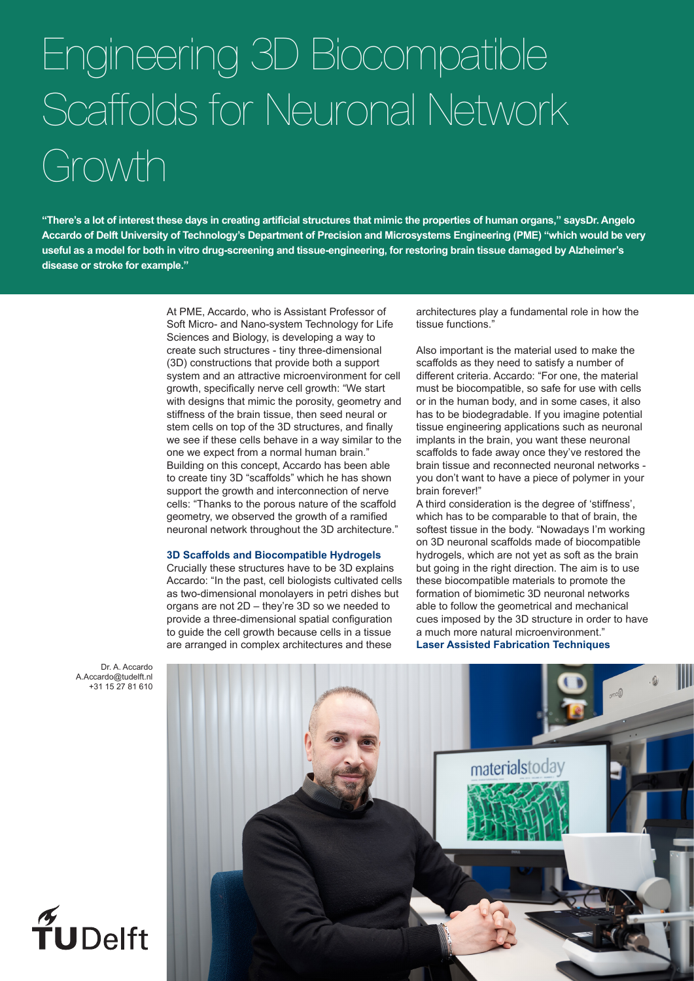## Engineering 3D Biocompatible Scaffolds for Neuronal Network Growth

**"There's a lot of interest these days in creating artificial structures that mimic the properties of human organs," saysDr. Angelo Accardo of Delft University of Technology's Department of Precision and Microsystems Engineering (PME) "which would be very useful as a model for both in vitro drug-screening and tissue-engineering, for restoring brain tissue damaged by Alzheimer's disease or stroke for example."**

> At PME, Accardo, who is Assistant Professor of Soft Micro- and Nano-system Technology for Life Sciences and Biology, is developing a way to create such structures - tiny three-dimensional (3D) constructions that provide both a support system and an attractive microenvironment for cell growth, specifically nerve cell growth: "We start with designs that mimic the porosity, geometry and stiffness of the brain tissue, then seed neural or stem cells on top of the 3D structures, and finally we see if these cells behave in a way similar to the one we expect from a normal human brain." Building on this concept, Accardo has been able to create tiny 3D "scaffolds" which he has shown support the growth and interconnection of nerve cells: "Thanks to the porous nature of the scaffold geometry, we observed the growth of a ramified neuronal network throughout the 3D architecture."

## **3D Scaffolds and Biocompatible Hydrogels**

Crucially these structures have to be 3D explains Accardo: "In the past, cell biologists cultivated cells as two-dimensional monolayers in petri dishes but organs are not 2D – they're 3D so we needed to provide a three-dimensional spatial configuration to guide the cell growth because cells in a tissue are arranged in complex architectures and these

architectures play a fundamental role in how the tissue functions."

Also important is the material used to make the scaffolds as they need to satisfy a number of different criteria. Accardo: "For one, the material must be biocompatible, so safe for use with cells or in the human body, and in some cases, it also has to be biodegradable. If you imagine potential tissue engineering applications such as neuronal implants in the brain, you want these neuronal scaffolds to fade away once they've restored the brain tissue and reconnected neuronal networks you don't want to have a piece of polymer in your brain forever!"

A third consideration is the degree of 'stiffness', which has to be comparable to that of brain, the softest tissue in the body. "Nowadays I'm working on 3D neuronal scaffolds made of biocompatible hydrogels, which are not yet as soft as the brain but going in the right direction. The aim is to use these biocompatible materials to promote the formation of biomimetic 3D neuronal networks able to follow the geometrical and mechanical cues imposed by the 3D structure in order to have a much more natural microenvironment." **Laser Assisted Fabrication Techniques**

Dr. A. Accardo A.Accardo@tudelft.nl +31 15 27 81 610